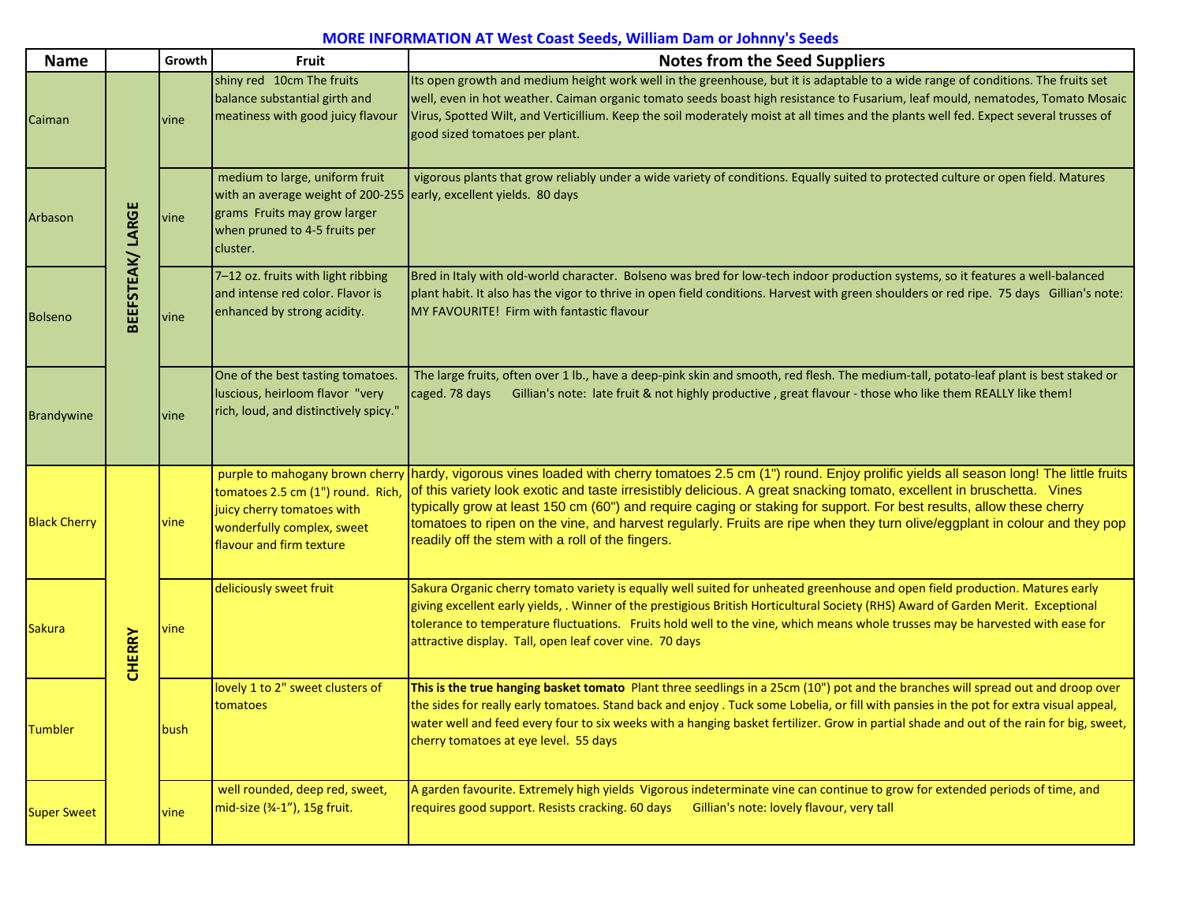## **MORE INFORMATION AT West Coast Seeds, William Dam or Johnny's Seeds**

| <b>Name</b>         |                  | Growth | Fruit                                                                                                                                                                             | <b>Notes from the Seed Suppliers</b>                                                                                                                                                                                                                                                                                                                                                                                                                                                                                                                                                             |
|---------------------|------------------|--------|-----------------------------------------------------------------------------------------------------------------------------------------------------------------------------------|--------------------------------------------------------------------------------------------------------------------------------------------------------------------------------------------------------------------------------------------------------------------------------------------------------------------------------------------------------------------------------------------------------------------------------------------------------------------------------------------------------------------------------------------------------------------------------------------------|
| Caiman              | BEEFSTEAK/ LARGE | vine   | shiny red 10cm The fruits<br>balance substantial girth and<br>meatiness with good juicy flavour                                                                                   | Its open growth and medium height work well in the greenhouse, but it is adaptable to a wide range of conditions. The fruits set<br>well, even in hot weather. Caiman organic tomato seeds boast high resistance to Fusarium, leaf mould, nematodes, Tomato Mosaic<br>Virus, Spotted Wilt, and Verticillium. Keep the soil moderately moist at all times and the plants well fed. Expect several trusses of<br>good sized tomatoes per plant.                                                                                                                                                    |
| Arbason             |                  | vine   | medium to large, uniform fruit<br>with an average weight of 200-255 early, excellent yields. 80 days<br>grams Fruits may grow larger<br>when pruned to 4-5 fruits per<br>cluster. | vigorous plants that grow reliably under a wide variety of conditions. Equally suited to protected culture or open field. Matures                                                                                                                                                                                                                                                                                                                                                                                                                                                                |
| Bolseno             |                  | vine   | 7-12 oz. fruits with light ribbing<br>and intense red color. Flavor is<br>enhanced by strong acidity.                                                                             | Bred in Italy with old-world character. Bolseno was bred for low-tech indoor production systems, so it features a well-balanced<br>plant habit. It also has the vigor to thrive in open field conditions. Harvest with green shoulders or red ripe. 75 days Gillian's note:<br>MY FAVOURITE! Firm with fantastic flavour                                                                                                                                                                                                                                                                         |
| <b>Brandywine</b>   |                  | vine   | One of the best tasting tomatoes.<br>luscious, heirloom flavor "very<br>rich, loud, and distinctively spicy."                                                                     | The large fruits, often over 1 lb., have a deep-pink skin and smooth, red flesh. The medium-tall, potato-leaf plant is best staked or<br>Gillian's note: late fruit & not highly productive, great flavour - those who like them REALLY like them!<br>caged. 78 days                                                                                                                                                                                                                                                                                                                             |
| <b>Black Cherry</b> |                  | vine   | tomatoes 2.5 cm (1") round. Rich<br>juicy cherry tomatoes with<br>wonderfully complex, sweet<br>flavour and firm texture                                                          | purple to mahogany brown cherry hardy, vigorous vines loaded with cherry tomatoes 2.5 cm (1") round. Enjoy prolific yields all season long! The little fruits<br>of this variety look exotic and taste irresistibly delicious. A great snacking tomato, excellent in bruschetta. Vines<br>typically grow at least 150 cm (60") and require caging or staking for support. For best results, allow these cherry<br>tomatoes to ripen on the vine, and harvest regularly. Fruits are ripe when they turn olive/eggplant in colour and they pop<br>readily off the stem with a roll of the fingers. |
| <b>Sakura</b>       | <b>CHERRY</b>    | vine   | deliciously sweet fruit                                                                                                                                                           | Sakura Organic cherry tomato variety is equally well suited for unheated greenhouse and open field production. Matures early<br>giving excellent early yields, . Winner of the prestigious British Horticultural Society (RHS) Award of Garden Merit. Exceptional<br>tolerance to temperature fluctuations. Fruits hold well to the vine, which means whole trusses may be harvested with ease for<br>attractive display. Tall, open leaf cover vine. 70 days                                                                                                                                    |
| <b>Tumbler</b>      |                  | bush   | lovely 1 to 2" sweet clusters of<br>tomatoes                                                                                                                                      | This is the true hanging basket tomato Plant three seedlings in a 25cm (10") pot and the branches will spread out and droop over<br>the sides for really early tomatoes. Stand back and enjoy . Tuck some Lobelia, or fill with pansies in the pot for extra visual appeal,<br>water well and feed every four to six weeks with a hanging basket fertilizer. Grow in partial shade and out of the rain for big, sweet,<br>cherry tomatoes at eye level. 55 days                                                                                                                                  |
| <b>Super Sweet</b>  |                  | vine   | well rounded, deep red, sweet,<br>mid-size (34-1"), 15g fruit.                                                                                                                    | A garden favourite. Extremely high yields Vigorous indeterminate vine can continue to grow for extended periods of time, and<br>requires good support. Resists cracking. 60 days Gillian's note: lovely flavour, very tall                                                                                                                                                                                                                                                                                                                                                                       |